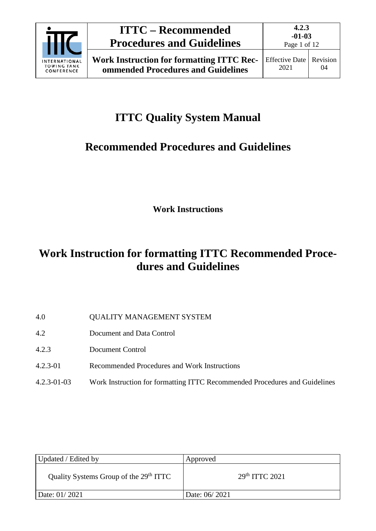

# **ITTC Quality System Manual**

# **Recommended Procedures and Guidelines**

**Work Instructions**

# **Work Instruction for formatting ITTC Recommended Procedures and Guidelines**

- 4.0 QUALITY MANAGEMENT SYSTEM
- 4.2 Document and Data Control
- 4.2.3 Document Control
- 4.2.3-01 Recommended Procedures and Work Instructions
- 4.2.3-01-03 Work Instruction for formatting ITTC Recommended Procedures and Guidelines

| Updated / Edited by                                | Approved           |
|----------------------------------------------------|--------------------|
| Quality Systems Group of the 29 <sup>th</sup> ITTC | $29th$ ITTC $2021$ |
| Date: 01/2021                                      | Date: 06/2021      |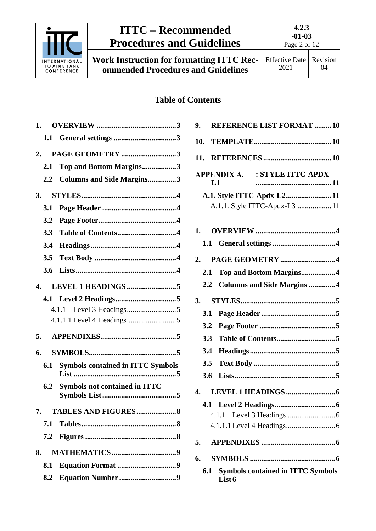

**Work Instruction for formatting ITTC Recommended Procedures and Guidelines**

## **Table of Contents**

| 1. |     |                                          |  |
|----|-----|------------------------------------------|--|
|    | 1.1 |                                          |  |
| 2. |     | PAGE GEOMETRY 3                          |  |
|    | 2.1 | Top and Bottom Margins3                  |  |
|    | 2.2 | <b>Columns and Side Margins3</b>         |  |
| 3. |     |                                          |  |
|    | 3.1 |                                          |  |
|    | 3.2 |                                          |  |
|    | 3.3 |                                          |  |
|    | 3.4 |                                          |  |
|    | 3.5 |                                          |  |
|    | 3.6 |                                          |  |
| 4. |     |                                          |  |
|    |     |                                          |  |
|    |     | 4.1.1                                    |  |
|    |     |                                          |  |
| 5. |     |                                          |  |
| 6. |     |                                          |  |
|    | 6.1 | <b>Symbols contained in ITTC Symbols</b> |  |
|    | 6.2 | <b>Symbols not contained in ITTC</b>     |  |
|    | 7.  |                                          |  |
|    | 7.1 |                                          |  |
|    | 7.2 |                                          |  |
| 8. |     |                                          |  |
|    | 8.1 |                                          |  |
|    |     |                                          |  |

| <b>REFERENCE LIST FORMAT 10</b><br>9.                     |
|-----------------------------------------------------------|
| 10.                                                       |
| 11.                                                       |
| APPENDIX A. : STYLE ITTC-APDX-<br>L1                      |
| A.1. Style ITTC-Apdx-L2 11                                |
| A.1.1. Style ITTC-Apdx-L3  11                             |
|                                                           |
| 1.                                                        |
|                                                           |
|                                                           |
| 2.                                                        |
| Top and Bottom Margins4<br>2.1                            |
| <b>Columns and Side Margins 4</b><br>$2.2^{\circ}$        |
| 3.                                                        |
| 3.1                                                       |
| 3.2                                                       |
| 3.3                                                       |
| 3.4                                                       |
| 3.5                                                       |
| 3.6                                                       |
| 4.                                                        |
|                                                           |
|                                                           |
|                                                           |
|                                                           |
| 5.                                                        |
| 6.                                                        |
| <b>Symbols contained in ITTC Symbols</b><br>6.1<br>List 6 |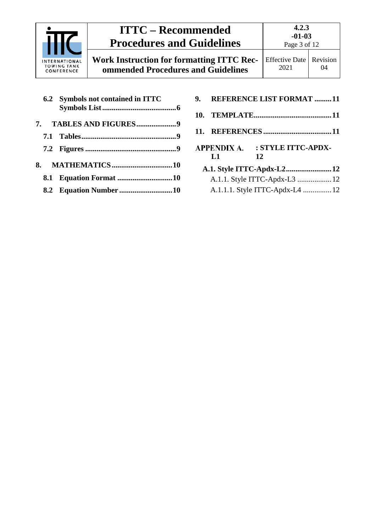

**4.2.3 -01-03** Page 3 of 12

**Work Instruction for formatting ITTC Recommended Procedures and Guidelines**

|  | 6.2 Symbols not contained in ITTC |  |
|--|-----------------------------------|--|
|  |                                   |  |
|  |                                   |  |
|  |                                   |  |
|  |                                   |  |
|  |                                   |  |
|  |                                   |  |

| 9. |                                | <b>REFERENCE LIST FORMAT 11</b> |  |  |
|----|--------------------------------|---------------------------------|--|--|
|    |                                |                                 |  |  |
|    |                                |                                 |  |  |
|    | APPENDIX A. : STYLE ITTC-APDX- |                                 |  |  |
|    | L1                             | 12                              |  |  |
|    |                                |                                 |  |  |
|    | A.1.1. Style ITTC-Apdx-L3  12  |                                 |  |  |
|    |                                | A.1.1.1. Style ITTC-Apdx-L4 12  |  |  |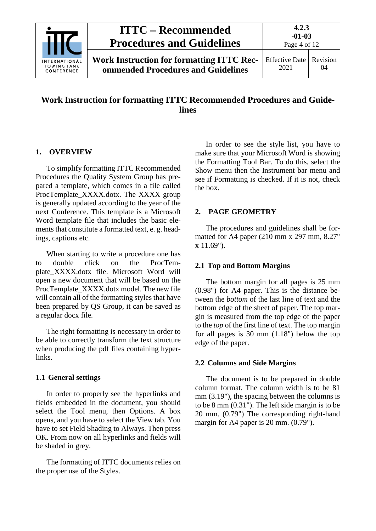

## **Work Instruction for formatting ITTC Recommended Procedures and Guidelines**

#### <span id="page-3-0"></span>**1. OVERVIEW**

To simplify formatting ITTC Recommended Procedures the Quality System Group has prepared a template, which comes in a file called ProcTemplate XXXX.dotx. The XXXX group is generally updated according to the year of the next Conference. This template is a Microsoft Word template file that includes the basic elements that constitute a formatted text, e. g. headings, captions etc.

When starting to write a procedure one has to double click on the ProcTemplate\_XXXX.dotx file. Microsoft Word will open a new document that will be based on the ProcTemplate\_XXXX.dotx model. The new file will contain all of the formatting styles that have been prepared by QS Group, it can be saved as a regular docx file.

The right formatting is necessary in order to be able to correctly transform the text structure when producing the pdf files containing hyperlinks.

#### <span id="page-3-1"></span>**1.1 General settings**

In order to properly see the hyperlinks and fields embedded in the document, you should select the Tool menu, then Options. A box opens, and you have to select the View tab. You have to set Field Shading to Always. Then press OK. From now on all hyperlinks and fields will be shaded in grey.

The formatting of ITTC documents relies on the proper use of the Styles.

In order to see the style list, you have to make sure that your Microsoft Word is showing the Formatting Tool Bar. To do this, select the Show menu then the Instrument bar menu and see if Formatting is checked. If it is not, check the box.

#### <span id="page-3-2"></span>**2. PAGE GEOMETRY**

The procedures and guidelines shall be formatted for A4 paper (210 mm x 297 mm, 8.27" x 11.69").

#### <span id="page-3-3"></span>**2.1 Top and Bottom Margins**

The bottom margin for all pages is 25 mm (0.98") for A4 paper. This is the distance between the *bottom* of the last line of text and the bottom edge of the sheet of paper. The top margin is measured from the top edge of the paper to the *top* of the first line of text. The top margin for all pages is 30 mm (1.18") below the top edge of the paper.

#### <span id="page-3-4"></span>**2.2 Columns and Side Margins**

The document is to be prepared in double column format. The column width is to be 81 mm (3.19"), the spacing between the columns is to be 8 mm (0.31"). The left side margin is to be 20 mm. (0.79") The corresponding right-hand margin for A4 paper is 20 mm. (0.79").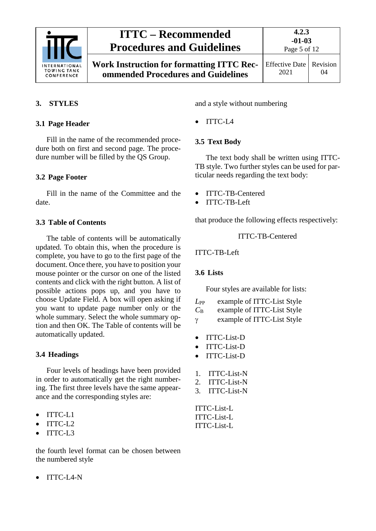

**Work Instruction for formatting ITTC Recommended Procedures and Guidelines**

### <span id="page-4-1"></span><span id="page-4-0"></span>**3. STYLES**

#### **3.1 Page Header**

Fill in the name of the recommended procedure both on first and second page. The procedure number will be filled by the QS Group.

#### <span id="page-4-2"></span>**3.2 Page Footer**

Fill in the name of the Committee and the date.

#### <span id="page-4-3"></span>**3.3 Table of Contents**

The table of contents will be automatically updated. To obtain this, when the procedure is complete, you have to go to the first page of the document. Once there, you have to position your mouse pointer or the cursor on one of the listed contents and click with the right button. A list of possible actions pops up, and you have to choose Update Field. A box will open asking if you want to update page number only or the whole summary. Select the whole summary option and then OK. The Table of contents will be automatically updated.

#### <span id="page-4-4"></span>**3.4 Headings**

Four levels of headings have been provided in order to automatically get the right numbering. The first three levels have the same appearance and the corresponding styles are:

- ITTC-L1
- ITTC-L2
- ITTC-L3

the fourth level format can be chosen between the numbered style

• ITTC-L4-N

and a style without numbering

• ITTC-L4

### <span id="page-4-5"></span>**3.5 Text Body**

The text body shall be written using ITTC-TB style. Two further styles can be used for particular needs regarding the text body:

- ITTC-TB-Centered
- ITTC-TB-Left

that produce the following effects respectively:

ITTC-TB-Centered

<span id="page-4-6"></span>ITTC-TB-Left

### **3.6 Lists**

Four styles are available for lists:

- *L*PP example of ITTC-List Style *C*<sup>B</sup> example of ITTC-List Style
- γ example of ITTC-List Style
- ITTC-List-D
- ITTC-List-D
- ITTC-List-D
- 1. ITTC-List-N
- 2. ITTC-List-N
- 3. ITTC-List-N

ITTC-List-L ITTC-List-L ITTC-List-L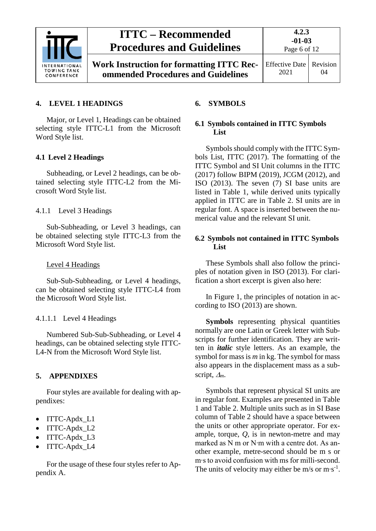

**Work Instruction for formatting ITTC Recommended Procedures and Guidelines**

**4.2.3 -01-03** Page 6 of 12

#### <span id="page-5-0"></span>**4. LEVEL 1 HEADINGS**

Major, or Level 1, Headings can be obtained selecting style ITTC-L1 from the Microsoft Word Style list.

#### <span id="page-5-1"></span>**4.1 Level 2 Headings**

Subheading, or Level 2 headings, can be obtained selecting style ITTC-L2 from the Microsoft Word Style list.

<span id="page-5-2"></span>4.1.1 Level 3 Headings

Sub-Subheading, or Level 3 headings, can be obtained selecting style ITTC-L3 from the Microsoft Word Style list.

#### Level 4 Headings

Sub-Sub-Subheading, or Level 4 headings, can be obtained selecting style ITTC-L4 from the Microsoft Word Style list.

#### <span id="page-5-3"></span>4.1.1.1 Level 4 Headings

Numbered Sub-Sub-Subheading, or Level 4 headings, can be obtained selecting style ITTC-L4-N from the Microsoft Word Style list.

#### <span id="page-5-4"></span>**5. APPENDIXES**

Four styles are available for dealing with appendixes:

- ITTC-Apdx\_L1
- ITTC-Apdx\_L2
- ITTC-Apdx\_L3
- ITTC-Apdx L4

#### For the usage of these four styles refer to Appendix A.

#### <span id="page-5-6"></span><span id="page-5-5"></span>**6. SYMBOLS**

#### **6.1 Symbols contained in ITTC Symbols List**

Symbols should comply with the ITTC Symbols List, ITTC (2017). The formatting of the ITTC Symbol and SI Unit columns in the ITTC (2017) follow BIPM (2019), JCGM (2012), and ISO (2013). The seven (7) SI base units are listed in [Table 1,](#page-6-0) while derived units typically applied in ITTC are in [Table 2.](#page-7-0) SI units are in regular font. A space is inserted between the numerical value and the relevant SI unit.

#### <span id="page-5-7"></span>**6.2 Symbols not contained in ITTC Symbols List**

These Symbols shall also follow the principles of notation given in ISO (2013). For clarification a short excerpt is given also here:

In [Figure 1,](#page-7-1) the principles of notation in according to ISO (2013) are shown.

**Symbols** representing physical quantities normally are one Latin or Greek letter with Subscripts for further identification. They are written in *italic* style letters. As an example, the symbol for mass is *m* in kg. The symbol for mass also appears in the displacement mass as a subscript, <sup>∆</sup>*m*.

Symbols that represent physical SI units are in regular font. Examples are presented in [Table](#page-6-0)  [1](#page-6-0) and [Table 2.](#page-7-0) Multiple units such as in SI Base column of [Table 2](#page-7-0) should have a space between the units or other appropriate operator. For example, torque, *Q*, is in newton-metre and may marked as N m or N∙m with a centre dot. As another example, metre-second should be m s or m∙s to avoid confusion with ms for milli-second. The units of velocity may either be m/s or m⋅s<sup>-1</sup>.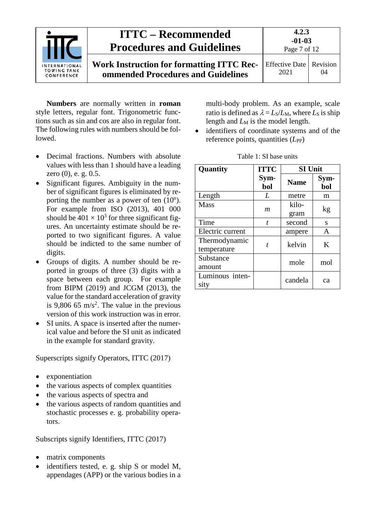

**Numbers** are normally written in **roman** style letters, regular font. Trigonometric functions such as sin and cos are also in regular font. The following rules with numbers should be followed.

- Decimal fractions. Numbers with absolute values with less than 1 should have a leading zero (0), e. g. 0.5.
- Significant figures. Ambiguity in the number of significant figures is eliminated by reporting the number as a power of ten  $(10^n)$ . For example from ISO (2013), 401 000 should be  $401 \times 10^3$  for three significant figures. An uncertainty estimate should be reported to two significant figures. A value should be indicted to the same number of digits.
- Groups of digits. A number should be reported in groups of three (3) digits with a space between each group. For example from BIPM (2019) and JCGM (2013), the value for the standard acceleration of gravity is 9,806 65 m/s<sup>2</sup>. The value in the previous version of this work instruction was in error.
- SI units. A space is inserted after the numerical value and before the SI unit as indicated in the example for standard gravity.

Superscripts signify Operators, ITTC (2017)

- exponentiation
- the various aspects of complex quantities
- the various aspects of spectra and
- the various aspects of random quantities and stochastic processes e. g. probability operators.

Subscripts signify Identifiers, ITTC (2017)

- matrix components
- identifiers tested, e. g. ship S or model M, appendages (APP) or the various bodies in a

multi-body problem. As an example, scale ratio is defined as  $\lambda = L_S/L_M$ , where  $L_S$  is ship length and  $L_M$  is the model length.

• identifiers of coordinate systems and of the reference points, quantities (*L*<sub>PP</sub>)

<span id="page-6-0"></span>

| Quantity                     | <b>ITTC</b>      | <b>SI Unit</b> |             |
|------------------------------|------------------|----------------|-------------|
|                              | Sym-<br>bol      | <b>Name</b>    | Sym-<br>bol |
| Length                       | L                | metre          | m           |
| <b>Mass</b>                  | m                | kilo-<br>gram  | kg          |
| Time                         | $\boldsymbol{t}$ | second         | S           |
| Electric current             |                  | ampere         | A           |
| Thermodynamic<br>temperature | t                | kelvin         | K           |
| Substance<br>amount          |                  | mole           | mol         |
| Luminous inten-<br>sity      |                  | candela        | ca          |

Table 1: SI base units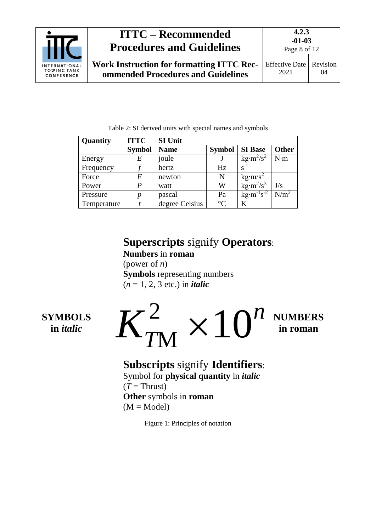

**Work Instruction for formatting ITTC Recommended Procedures and Guidelines**

Table 2: SI derived units with special names and symbols

<span id="page-7-0"></span>

| Quantity    | <b>ITTC</b>   | <b>SI Unit</b> |                 |                                               |                  |
|-------------|---------------|----------------|-----------------|-----------------------------------------------|------------------|
|             | <b>Symbol</b> | <b>Name</b>    | <b>Symbol</b>   | <b>SI</b> Base                                | <b>Other</b>     |
| Energy      | E             | joule          |                 | $\text{kg}\cdot\text{m}^2/\text{s}^2$         | N·m              |
| Frequency   |               | hertz          | Hz              | $S^{-1}$                                      |                  |
| Force       | F             | newton         | N               | $\text{kg}\cdot\text{m/s}^2$                  |                  |
| Power       | P             | watt           | W               | $\text{kg}\cdot\text{m}^2/\text{s}^3$         | J/s              |
| Pressure    |               | pascal         | Pa              | $\text{kg} \cdot \text{m}^{-1} \text{s}^{-2}$ | N/m <sup>2</sup> |
| Temperature |               | degree Celsius | $\rm ^{\circ}C$ | K                                             |                  |

# **Superscripts** signify **Operators**:

**Numbers** in **roman** (power of *n*) **Symbols** representing numbers (*n* = 1, 2, 3 etc.) in *italic*

# **SYMBOLS in** *italic*



## **Subscripts** signify **Identifiers**: Symbol for **physical quantity** in *italic*

<span id="page-7-1"></span> $(T = Thrust)$ **Other** symbols in **roman**  $(M = Model)$ 

Figure 1: Principles of notation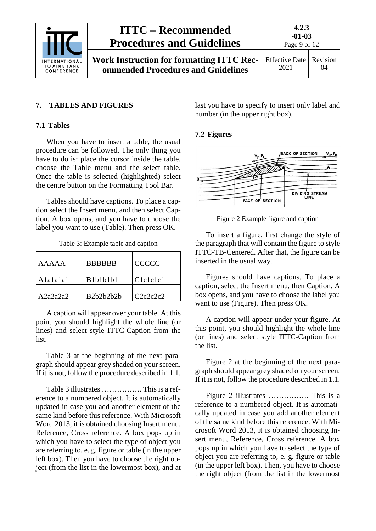

**4.2.3 -01-03**

#### <span id="page-8-1"></span><span id="page-8-0"></span>**7. TABLES AND FIGURES**

#### **7.1 Tables**

When you have to insert a table, the usual procedure can be followed. The only thing you have to do is: place the cursor inside the table, choose the Table menu and the select table. Once the table is selected (highlighted) select the centre button on the Formatting Tool Bar.

Tables should have captions. To place a caption select the Insert menu, and then select Caption. A box opens, and you have to choose the label you want to use (Table). Then press OK.

Table 3: Example table and caption

<span id="page-8-3"></span>

| AAAAA    | <b>BBBBBB</b>                                                 | CCCCC    |
|----------|---------------------------------------------------------------|----------|
| Alalalal | B1b1b1b1                                                      | Clelelel |
| A2a2a2a2 | B <sub>2</sub> b <sub>2</sub> b <sub>2</sub> b <sub>2</sub> b | C2c2c2c2 |

A caption will appear over your table. At this point you should highlight the whole line (or lines) and select style ITTC-Caption from the list.

Table 3 at the beginning of the next paragraph should appear grey shaded on your screen. If it is not, follow the procedure described in 1.1.

[Table 3](#page-8-3) illustrates ……………. This is a reference to a numbered object. It is automatically updated in case you add another element of the same kind before this reference. With Microsoft Word 2013, it is obtained choosing Insert menu, Reference, Cross reference. A box pops up in which you have to select the type of object you are referring to, e. g. figure or table (in the upper left box). Then you have to choose the right object (from the list in the lowermost box), and at last you have to specify to insert only label and number (in the upper right box).

#### <span id="page-8-2"></span>**7.2 Figures**



<span id="page-8-4"></span>Figure 2 Example figure and caption

To insert a figure, first change the style of the paragraph that will contain the figure to style ITTC-TB-Centered. After that, the figure can be inserted in the usual way.

Figures should have captions. To place a caption, select the Insert menu, then Caption. A box opens, and you have to choose the label you want to use (Figure). Then press OK.

A caption will appear under your figure. At this point, you should highlight the whole line (or lines) and select style ITTC-Caption from the list.

Figure 2 at the beginning of the next paragraph should appear grey shaded on your screen. If it is not, follow the procedure described in 1.1.

[Figure 2](#page-8-4) illustrates ……………. This is a reference to a numbered object. It is automatically updated in case you add another element of the same kind before this reference. With Microsoft Word 2013, it is obtained choosing Insert menu, Reference, Cross reference. A box pops up in which you have to select the type of object you are referring to, e. g. figure or table (in the upper left box). Then, you have to choose the right object (from the list in the lowermost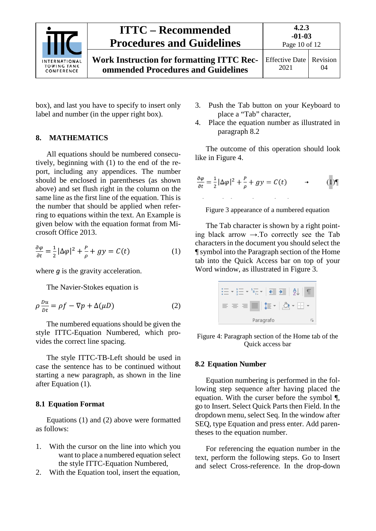

<span id="page-9-0"></span>box), and last you have to specify to insert only label and number (in the upper right box).

#### **8. MATHEMATICS**

All equations should be numbered consecutively, beginning with (1) to the end of the report, including any appendices. The number should be enclosed in parentheses (as shown above) and set flush right in the column on the same line as the first line of the equation. This is the number that should be applied when referring to equations within the text. An Example is given below with the equation format from Microsoft Office 2013.

$$
\frac{\partial \varphi}{\partial t} = \frac{1}{2} |\Delta \varphi|^2 + \frac{P}{\rho} + gy = C(t) \tag{1}
$$

where *q* is the gravity acceleration.

The Navier-Stokes equation is

$$
\rho \frac{Du}{Dt} = \rho f - \nabla p + \Delta(\mu D) \tag{2}
$$

The numbered equations should be given the style ITTC-Equation Numbered, which provides the correct line spacing.

The style ITTC-TB-Left should be used in case the sentence has to be continued without starting a new paragraph, as shown in the line after Equation [\(1\).](#page-9-3)

#### <span id="page-9-1"></span>**8.1 Equation Format**

Equations (1) and (2) above were formatted as follows:

- 1. With the cursor on the line into which you want to place a numbered equation select the style ITTC-Equation Numbered,
- 2. With the Equation tool, insert the equation,
- 3. Push the Tab button on your Keyboard to place a "Tab" character,
- 4. Place the equation number as illustrated in paragraph [8.2](#page-9-2)

The outcome of this operation should look like in [Figure 4.](#page-9-4)

$$
\frac{\partial \varphi}{\partial t} = \frac{1}{2} |\Delta \varphi|^2 + \frac{P}{\rho} + gy = C(t) \qquad \to \qquad (1)
$$

<span id="page-9-4"></span>Figure 3 appearance of a numbered equation

<span id="page-9-3"></span>The Tab character is shown by a right pointing black arrow  $\rightarrow$ . To correctly see the Tab characters in the document you should select the ¶ symbol into the Paragraph section of the Home tab into the Quick Access bar on top of your Word window, as illustrated in [Figure 3.](#page-9-5)

|   | 들 제학 트를 기          |   |
|---|--------------------|---|
| 言 | ■■ 娃▼   ②・<br>- 84 |   |
|   | Paragrafo          | Б |

<span id="page-9-5"></span>Figure 4: Paragraph section of the Home tab of the Quick access bar

#### <span id="page-9-2"></span>**8.2 Equation Number**

Equation numbering is performed in the following step sequence after having placed the equation. With the curser before the symbol ¶, go to Insert. Select Quick Parts then Field. In the dropdown menu, select Seq. In the window after SEQ, type Equation and press enter. Add parentheses to the equation number.

For referencing the equation number in the text, perform the following steps. Go to Insert and select Cross-reference. In the drop-down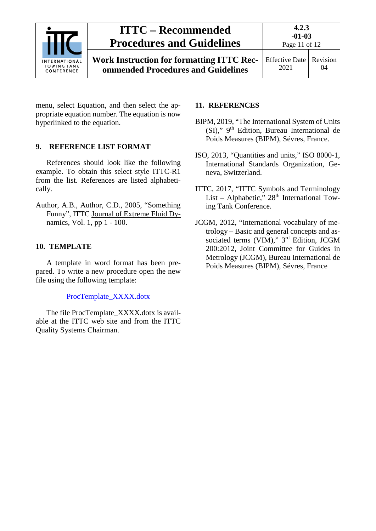

**4.2.3**

menu, select Equation, and then select the appropriate equation number. The equation is now hyperlinked to the equation.

#### <span id="page-10-0"></span>**9. REFERENCE LIST FORMAT**

References should look like the following example. To obtain this select style ITTC-R1 from the list. References are listed alphabetically.

Author, A.B., Author, C.D., 2005, "Something Funny", ITTC Journal of Extreme Fluid Dynamics, Vol. 1, pp 1 - 100.

### <span id="page-10-1"></span>**10. TEMPLATE**

A template in word format has been prepared. To write a new procedure open the new file using the following template:

#### ProcTemplate\_XXXX.dotx

The file ProcTemplate\_XXXX.dotx is available at the ITTC web site and from the ITTC Quality Systems Chairman.

### <span id="page-10-2"></span>**11. REFERENCES**

- BIPM, 2019, "The International System of Units (SI)," 9th Edition, Bureau International de Poids Measures (BIPM), Sévres, France.
- ISO, 2013, "Quantities and units," ISO 8000-1, International Standards Organization, Geneva, Switzerland.
- ITTC, 2017, "ITTC Symbols and Terminology List – Alphabetic,"  $28<sup>th</sup>$  International Towing Tank Conference.
- JCGM, 2012, "International vocabulary of metrology – Basic and general concepts and associated terms (VIM)," 3<sup>rd</sup> Edition, JCGM 200:2012, Joint Committee for Guides in Metrology (JCGM), Bureau International de Poids Measures (BIPM), Sévres, France